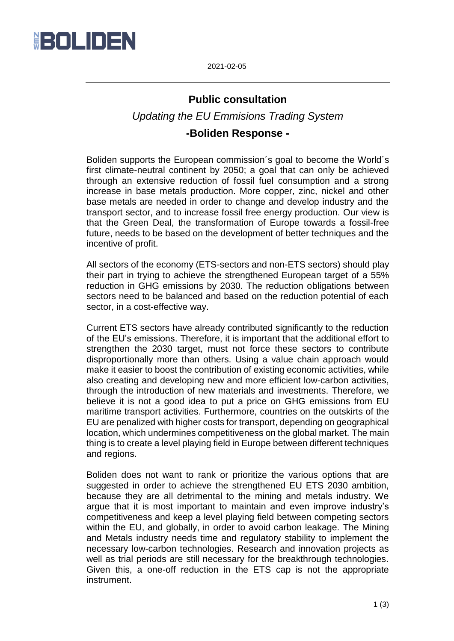

2021-02-05

## **Public consultation**

*Updating the EU Emmisions Trading System*

## **-Boliden Response -**

Boliden supports the European commission´s goal to become the World´s first climate-neutral continent by 2050; a goal that can only be achieved through an extensive reduction of fossil fuel consumption and a strong increase in base metals production. More copper, zinc, nickel and other base metals are needed in order to change and develop industry and the transport sector, and to increase fossil free energy production. Our view is that the Green Deal, the transformation of Europe towards a fossil-free future, needs to be based on the development of better techniques and the incentive of profit.

All sectors of the economy (ETS-sectors and non-ETS sectors) should play their part in trying to achieve the strengthened European target of a 55% reduction in GHG emissions by 2030. The reduction obligations between sectors need to be balanced and based on the reduction potential of each sector, in a cost-effective way.

Current ETS sectors have already contributed significantly to the reduction of the EU's emissions. Therefore, it is important that the additional effort to strengthen the 2030 target, must not force these sectors to contribute disproportionally more than others. Using a value chain approach would make it easier to boost the contribution of existing economic activities, while also creating and developing new and more efficient low-carbon activities, through the introduction of new materials and investments. Therefore, we believe it is not a good idea to put a price on GHG emissions from EU maritime transport activities. Furthermore, countries on the outskirts of the EU are penalized with higher costs for transport, depending on geographical location, which undermines competitiveness on the global market. The main thing is to create a level playing field in Europe between different techniques and regions.

Boliden does not want to rank or prioritize the various options that are suggested in order to achieve the strengthened EU ETS 2030 ambition, because they are all detrimental to the mining and metals industry. We argue that it is most important to maintain and even improve industry's competitiveness and keep a level playing field between competing sectors within the EU, and globally, in order to avoid carbon leakage. The Mining and Metals industry needs time and regulatory stability to implement the necessary low-carbon technologies. Research and innovation projects as well as trial periods are still necessary for the breakthrough technologies. Given this, a one-off reduction in the ETS cap is not the appropriate instrument.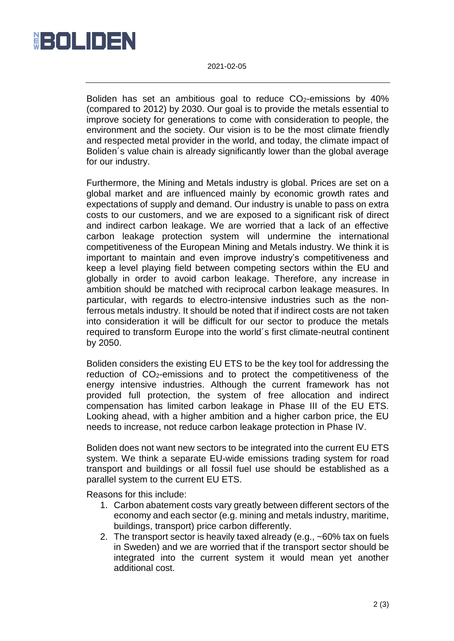

2021-02-05

Boliden has set an ambitious goal to reduce CO2-emissions by 40% (compared to 2012) by 2030. Our goal is to provide the metals essential to improve society for generations to come with consideration to people, the environment and the society. Our vision is to be the most climate friendly and respected metal provider in the world, and today, the climate impact of Boliden´s value chain is already significantly lower than the global average for our industry.

Furthermore, the Mining and Metals industry is global. Prices are set on a global market and are influenced mainly by economic growth rates and expectations of supply and demand. Our industry is unable to pass on extra costs to our customers, and we are exposed to a significant risk of direct and indirect carbon leakage. We are worried that a lack of an effective carbon leakage protection system will undermine the international competitiveness of the European Mining and Metals industry. We think it is important to maintain and even improve industry's competitiveness and keep a level playing field between competing sectors within the EU and globally in order to avoid carbon leakage. Therefore, any increase in ambition should be matched with reciprocal carbon leakage measures. In particular, with regards to electro-intensive industries such as the nonferrous metals industry. It should be noted that if indirect costs are not taken into consideration it will be difficult for our sector to produce the metals required to transform Europe into the world´s first climate-neutral continent by 2050.

Boliden considers the existing EU ETS to be the key tool for addressing the reduction of CO2-emissions and to protect the competitiveness of the energy intensive industries. Although the current framework has not provided full protection, the system of free allocation and indirect compensation has limited carbon leakage in Phase III of the EU ETS. Looking ahead, with a higher ambition and a higher carbon price, the EU needs to increase, not reduce carbon leakage protection in Phase IV.

Boliden does not want new sectors to be integrated into the current EU ETS system. We think a separate EU-wide emissions trading system for road transport and buildings or all fossil fuel use should be established as a parallel system to the current EU ETS.

Reasons for this include:

- 1. Carbon abatement costs vary greatly between different sectors of the economy and each sector (e.g. mining and metals industry, maritime, buildings, transport) price carbon differently.
- 2. The transport sector is heavily taxed already (e.g., ~60% tax on fuels in Sweden) and we are worried that if the transport sector should be integrated into the current system it would mean yet another additional cost.